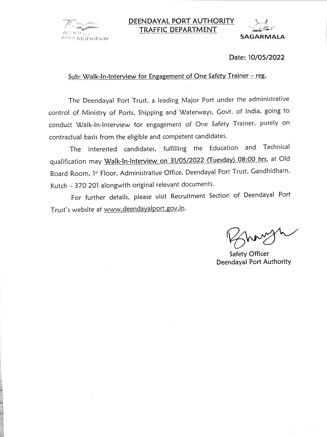

### DEENDAYAL PORT AUTHORITY **TRAFFIC DEPARTMENT**



#### Date: 10/05/2022

#### Sub: Walk-In-Interview for Engagement of One Safety Trainer - reg.

The Deendayal Port Trust, a leading Major Port under the administrative control of Ministry of Ports, Shipping and Waterways, Govt. of India, going to conduct Walk-In-Interview for engagement of One Safety Trainer, purely on contractual basis from the eligible and competent candidates.

The interested candidates, fulfilling the Education and Technical qualification may Walk-In-Interview on 31/05/2022 (Tuesday) 08:00 hrs. at Old Board Room, 1st Floor, Administrative Office, Deendayal Port Trust, Gandhidham, Kutch - 370 201 alongwith original relevant documents.

For further details, please visit Recruitment Section of Deendayal Port Trust's website at www.deendayalport.gov.in.

Safety Officer Deendayal Port Authority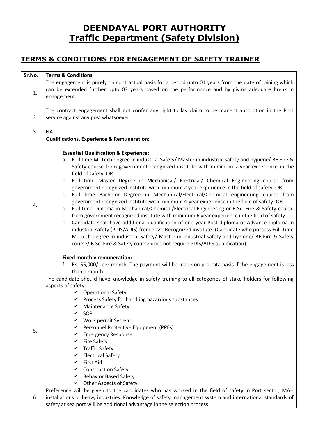# **DEENDAYAL PORT AUTHORITY Traffic Department (Safety Division)**

## **TERMS & CONDITIONS FOR ENGAGEMENT OF SAFETY TRAINER**

| Sr.No. | <b>Terms &amp; Conditions</b>                                                                                                                                                                                                                                                                                                                                                                                                                                                                                                                                                                                                                                                                                                                                                                                                                                                                                                                                                                                                                                                                                                                                                                                                                                                                                                                                                                                                                              |
|--------|------------------------------------------------------------------------------------------------------------------------------------------------------------------------------------------------------------------------------------------------------------------------------------------------------------------------------------------------------------------------------------------------------------------------------------------------------------------------------------------------------------------------------------------------------------------------------------------------------------------------------------------------------------------------------------------------------------------------------------------------------------------------------------------------------------------------------------------------------------------------------------------------------------------------------------------------------------------------------------------------------------------------------------------------------------------------------------------------------------------------------------------------------------------------------------------------------------------------------------------------------------------------------------------------------------------------------------------------------------------------------------------------------------------------------------------------------------|
| 1.     | The engagement is purely on contractual basis for a period upto 01 years from the date of joining which<br>can be extended further upto 03 years based on the performance and by giving adequate break in<br>engagement.                                                                                                                                                                                                                                                                                                                                                                                                                                                                                                                                                                                                                                                                                                                                                                                                                                                                                                                                                                                                                                                                                                                                                                                                                                   |
| 2.     | The contract engagement shall not confer any right to lay claim to permanent absorption in the Port<br>service against any post whatsoever.                                                                                                                                                                                                                                                                                                                                                                                                                                                                                                                                                                                                                                                                                                                                                                                                                                                                                                                                                                                                                                                                                                                                                                                                                                                                                                                |
| 3.     | <b>NA</b>                                                                                                                                                                                                                                                                                                                                                                                                                                                                                                                                                                                                                                                                                                                                                                                                                                                                                                                                                                                                                                                                                                                                                                                                                                                                                                                                                                                                                                                  |
| 4.     | <b>Qualifications, Experience &amp; Remuneration:</b><br><b>Essential Qualification &amp; Experience:</b><br>a. Full time M. Tech degree in industrial Safety/ Master in industrial safety and hygiene/ BE Fire &<br>Safety course from government recognized institute with minimum 2 year experience in the<br>field of safety. OR<br>b. Full time Master Degree in Mechanical/ Electrical/ Chemical Engineering course from<br>government recognized institute with minimum 2 year experience in the field of safety. OR<br>c. Full time Bachelor Degree in Mechanical/Electrical/Chemical engineering course from<br>government recognized institute with minimum 4-year experience in the field of safety. OR<br>d. Full time Diploma in Mechanical/Chemical/Electrical Engineering or B.Sc. Fire & Safety course<br>from government recognized institute with minimum 6 year experience in the field of safety.<br>e. Candidate shall have additional qualification of one-year Post diploma or Advance diploma in<br>industrial safety (PDIS/ADIS) from govt. Recognized institute. (Candidate who possess Full Time<br>M. Tech degree in industrial Safety/ Master in industrial safety and hygiene/ BE Fire & Safety<br>course/ B.Sc. Fire & Safety course does not require PDIS/ADIS qualification).<br><b>Fixed monthly remuneration:</b><br>Rs. 55,000/- per month. The payment will be made on pro-rata basis if the engagement is less<br>f. |
| 5.     | than a month.<br>The candidate should have knowledge in safety training to all categories of stake holders for following<br>aspects of safety:<br>✓ Operational Safety<br>$\checkmark$ Process Safety for handling hazardous substances<br><b>Maintenance Safety</b><br>SOP<br>Work permit System<br>Personnel Protective Equipment (PPEs)<br>✓<br><b>Emergency Response</b><br>✓<br><b>Fire Safety</b><br>✓<br><b>Traffic Safety</b><br>✓<br><b>Electrical Safety</b><br>✓<br><b>First Aid</b><br>$\checkmark$<br><b>Construction Safety</b><br><b>Behavior Based Safety</b><br>✓<br><b>Other Aspects of Safety</b><br>✓                                                                                                                                                                                                                                                                                                                                                                                                                                                                                                                                                                                                                                                                                                                                                                                                                                  |
| 6.     | Preference will be given to the candidates who has worked in the field of safety in Port sector, MAH<br>installations or heavy industries. Knowledge of safety management system and international standards of<br>safety at sea port will be additional advantage in the selection process.                                                                                                                                                                                                                                                                                                                                                                                                                                                                                                                                                                                                                                                                                                                                                                                                                                                                                                                                                                                                                                                                                                                                                               |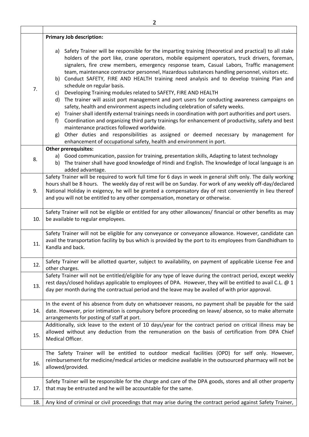|     | $\overline{2}$                                                                                                                                                                                                                                                                                                                                                                                               |
|-----|--------------------------------------------------------------------------------------------------------------------------------------------------------------------------------------------------------------------------------------------------------------------------------------------------------------------------------------------------------------------------------------------------------------|
|     |                                                                                                                                                                                                                                                                                                                                                                                                              |
| 7.  | <b>Primary Job description:</b>                                                                                                                                                                                                                                                                                                                                                                              |
|     | Safety Trainer will be responsible for the imparting training (theoretical and practical) to all stake<br>a)<br>holders of the port like, crane operators, mobile equipment operators, truck drivers, foreman,<br>signalers, fire crew members, emergency response team, Casual Labors, Traffic management<br>team, maintenance contractor personnel, Hazardous substances handling personnel, visitors etc. |
|     | b) Conduct SAFETY, FIRE AND HEALTH training need analysis and to develop training Plan and<br>schedule on regular basis.                                                                                                                                                                                                                                                                                     |
|     | Developing Training modules related to SAFETY, FIRE AND HEALTH<br>C)                                                                                                                                                                                                                                                                                                                                         |
|     | The trainer will assist port management and port users for conducting awareness campaigns on<br>d)<br>safety, health and environment aspects including celebration of safety weeks.                                                                                                                                                                                                                          |
|     | Trainer shall identify external trainings needs in coordination with port authorities and port users.<br>e)                                                                                                                                                                                                                                                                                                  |
|     | Coordination and organizing third party trainings for enhancement of productivity, safety and best<br>f)<br>maintenance practices followed worldwide.                                                                                                                                                                                                                                                        |
|     | Other duties and responsibilities as assigned or deemed necessary by management for<br>g)<br>enhancement of occupational safety, health and environment in port.                                                                                                                                                                                                                                             |
|     | Other prerequisites:                                                                                                                                                                                                                                                                                                                                                                                         |
| 8.  | a) Good communication, passion for training, presentation skills, Adapting to latest technology                                                                                                                                                                                                                                                                                                              |
|     | The trainer shall have good knowledge of Hindi and English. The knowledge of local language is an<br>b)<br>added advantage.                                                                                                                                                                                                                                                                                  |
|     | Safety Trainer will be required to work full time for 6 days in week in general shift only. The daily working                                                                                                                                                                                                                                                                                                |
| 9.  | hours shall be 8 hours. The weekly day of rest will be on Sunday. For work of any weekly off-day/declared<br>National Holiday in exigency, he will be granted a compensatory day of rest conveniently in lieu thereof                                                                                                                                                                                        |
|     | and you will not be entitled to any other compensation, monetary or otherwise.                                                                                                                                                                                                                                                                                                                               |
| 10. | Safety Trainer will not be eligible or entitled for any other allowances/ financial or other benefits as may                                                                                                                                                                                                                                                                                                 |
|     | be available to regular employees.                                                                                                                                                                                                                                                                                                                                                                           |
| 11. | Safety Trainer will not be eligible for any conveyance or conveyance allowance. However, candidate can<br>avail the transportation facility by bus which is provided by the port to its employees from Gandhidham to<br>Kandla and back.                                                                                                                                                                     |
| 12. | Safety Trainer will be allotted quarter, subject to availability, on payment of applicable License Fee and<br>other charges.                                                                                                                                                                                                                                                                                 |
| 13. | Safety Trainer will not be entitled/eligible for any type of leave during the contract period, except weekly<br>rest days/closed holidays applicable to employees of DPA. However, they will be entitled to avail C.L. @ 1<br>day per month during the contractual period and the leave may be availed of with prior approval.                                                                               |
| 14. | In the event of his absence from duty on whatsoever reasons, no payment shall be payable for the said<br>date. However, prior intimation is compulsory before proceeding on leave/ absence, so to make alternate<br>arrangements for posting of staff at port.                                                                                                                                               |
| 15. | Additionally, sick leave to the extent of 10 days/year for the contract period on critical illness may be<br>allowed without any deduction from the remuneration on the basis of certification from DPA Chief<br>Medical Officer.                                                                                                                                                                            |
|     |                                                                                                                                                                                                                                                                                                                                                                                                              |
| 16. | The Safety Trainer will be entitled to outdoor medical facilities (OPD) for self only. However,<br>reimbursement for medicine/medical articles or medicine available in the outsourced pharmacy will not be<br>allowed/provided.                                                                                                                                                                             |
| 17. | Safety Trainer will be responsible for the charge and care of the DPA goods, stores and all other property<br>that may be entrusted and he will be accountable for the same.                                                                                                                                                                                                                                 |
| 18. | Any kind of criminal or civil proceedings that may arise during the contract period against Safety Trainer,                                                                                                                                                                                                                                                                                                  |